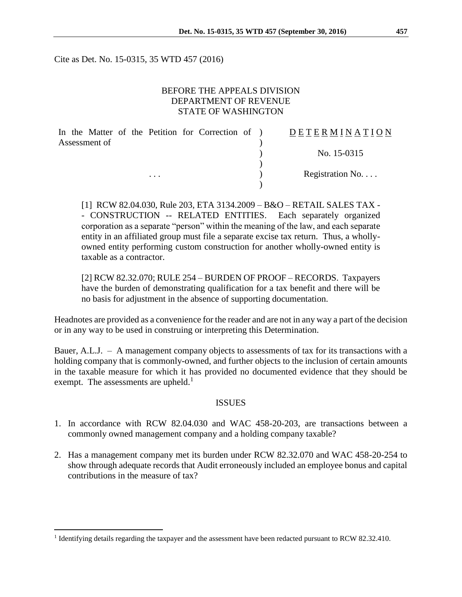Cite as Det. No. 15-0315, 35 WTD 457 (2016)

## BEFORE THE APPEALS DIVISION DEPARTMENT OF REVENUE STATE OF WASHINGTON

|               |          | In the Matter of the Petition for Correction of ) |  | DETERMINATION            |
|---------------|----------|---------------------------------------------------|--|--------------------------|
| Assessment of |          |                                                   |  |                          |
|               |          |                                                   |  | No. 15-0315              |
|               |          |                                                   |  |                          |
|               | $\cdots$ |                                                   |  | Registration No. $\dots$ |
|               |          |                                                   |  |                          |

[1] RCW 82.04.030, Rule 203, ETA 3134.2009 – B&O – RETAIL SALES TAX - - CONSTRUCTION -- RELATED ENTITIES. Each separately organized corporation as a separate "person" within the meaning of the law, and each separate entity in an affiliated group must file a separate excise tax return. Thus, a whollyowned entity performing custom construction for another wholly-owned entity is taxable as a contractor.

[2] RCW 82.32.070; RULE 254 – BURDEN OF PROOF – RECORDS. Taxpayers have the burden of demonstrating qualification for a tax benefit and there will be no basis for adjustment in the absence of supporting documentation.

Headnotes are provided as a convenience for the reader and are not in any way a part of the decision or in any way to be used in construing or interpreting this Determination.

Bauer, A.L.J. – A management company objects to assessments of tax for its transactions with a holding company that is commonly-owned, and further objects to the inclusion of certain amounts in the taxable measure for which it has provided no documented evidence that they should be exempt. The assessments are upheld.<sup>1</sup>

#### ISSUES

- 1. In accordance with RCW 82.04.030 and WAC 458-20-203, are transactions between a commonly owned management company and a holding company taxable?
- 2. Has a management company met its burden under RCW 82.32.070 and WAC 458-20-254 to show through adequate records that Audit erroneously included an employee bonus and capital contributions in the measure of tax?

<sup>&</sup>lt;sup>1</sup> Identifying details regarding the taxpayer and the assessment have been redacted pursuant to RCW 82.32.410.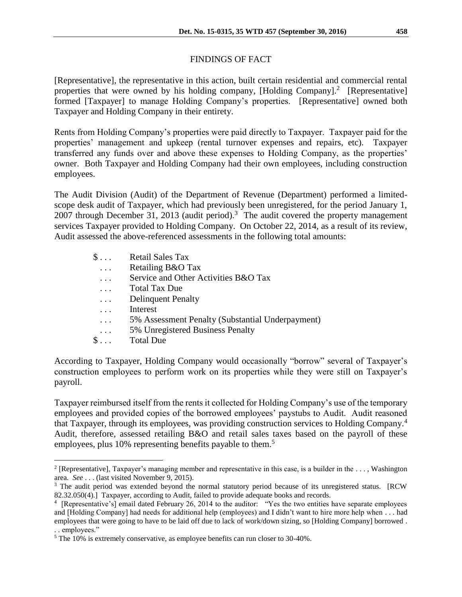# FINDINGS OF FACT

[Representative], the representative in this action, built certain residential and commercial rental properties that were owned by his holding company, [Holding Company].<sup>2</sup> [Representative] formed [Taxpayer] to manage Holding Company's properties. [Representative] owned both Taxpayer and Holding Company in their entirety.

Rents from Holding Company's properties were paid directly to Taxpayer. Taxpayer paid for the properties' management and upkeep (rental turnover expenses and repairs, etc). Taxpayer transferred any funds over and above these expenses to Holding Company, as the properties' owner. Both Taxpayer and Holding Company had their own employees, including construction employees.

The Audit Division (Audit) of the Department of Revenue (Department) performed a limitedscope desk audit of Taxpayer, which had previously been unregistered, for the period January 1, 2007 through December 31, 2013 (audit period).<sup>3</sup> The audit covered the property management services Taxpayer provided to Holding Company. On October 22, 2014, as a result of its review, Audit assessed the above-referenced assessments in the following total amounts:

| $\S \dots$ | <b>Retail Sales Tax</b>                          |
|------------|--------------------------------------------------|
| $\cdot$ .  | Retailing B&O Tax                                |
| $\cdots$   | Service and Other Activities B&O Tax             |
| $\cdots$   | <b>Total Tax Due</b>                             |
| $\cdots$   | <b>Delinquent Penalty</b>                        |
| .          | Interest                                         |
| .          | 5% Assessment Penalty (Substantial Underpayment) |
| $\cdots$   | 5% Unregistered Business Penalty                 |
| $\S \dots$ | <b>Total Due</b>                                 |
|            |                                                  |

According to Taxpayer, Holding Company would occasionally "borrow" several of Taxpayer's construction employees to perform work on its properties while they were still on Taxpayer's payroll.

Taxpayer reimbursed itself from the rents it collected for Holding Company's use of the temporary employees and provided copies of the borrowed employees' paystubs to Audit. Audit reasoned that Taxpayer, through its employees, was providing construction services to Holding Company.<sup>4</sup> Audit, therefore, assessed retailing B&O and retail sales taxes based on the payroll of these employees, plus 10% representing benefits payable to them.<sup>5</sup>

<sup>2</sup> [Representative], Taxpayer's managing member and representative in this case, is a builder in the . . . , Washington area. *See* . . . (last visited November 9, 2015).

<sup>&</sup>lt;sup>3</sup> The audit period was extended beyond the normal statutory period because of its unregistered status. [RCW 82.32.050(4).] Taxpayer, according to Audit, failed to provide adequate books and records.

<sup>&</sup>lt;sup>4</sup> [Representative's] email dated February 26, 2014 to the auditor: "Yes the two entities have separate employees and [Holding Company] had needs for additional help (employees) and I didn't want to hire more help when . . . had employees that were going to have to be laid off due to lack of work/down sizing, so [Holding Company] borrowed . . . employees."

<sup>&</sup>lt;sup>5</sup> The 10% is extremely conservative, as employee benefits can run closer to 30-40%.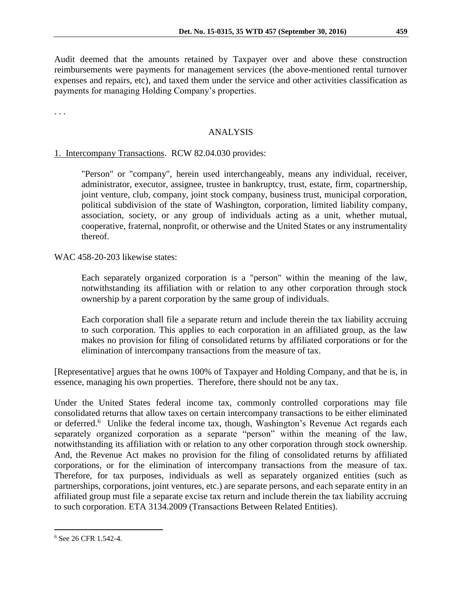Audit deemed that the amounts retained by Taxpayer over and above these construction reimbursements were payments for management services (the above-mentioned rental turnover expenses and repairs, etc), and taxed them under the service and other activities classification as payments for managing Holding Company's properties.

. . .

## ANALYSIS

## 1. Intercompany Transactions. RCW 82.04.030 provides:

"Person" or "company", herein used interchangeably, means any individual, receiver, administrator, executor, assignee, trustee in bankruptcy, trust, estate, firm, copartnership, joint venture, club, company, joint stock company, business trust, municipal corporation, political subdivision of the state of Washington, corporation, limited liability company, association, society, or any group of individuals acting as a unit, whether mutual, cooperative, fraternal, nonprofit, or otherwise and the United States or any instrumentality thereof.

WAC 458-20-203 likewise states:

Each separately organized corporation is a "person" within the meaning of the law, notwithstanding its affiliation with or relation to any other corporation through stock ownership by a parent corporation by the same group of individuals.

Each corporation shall file a separate return and include therein the tax liability accruing to such corporation. This applies to each corporation in an affiliated group, as the law makes no provision for filing of consolidated returns by affiliated corporations or for the elimination of intercompany transactions from the measure of tax.

[Representative] argues that he owns 100% of Taxpayer and Holding Company, and that he is, in essence, managing his own properties. Therefore, there should not be any tax.

Under the United States federal income tax, commonly controlled corporations may file consolidated returns that allow taxes on certain intercompany transactions to be either eliminated or deferred.<sup>6</sup> Unlike the federal income tax, though, Washington's Revenue Act regards each separately organized corporation as a separate "person" within the meaning of the law, notwithstanding its affiliation with or relation to any other corporation through stock ownership. And, the Revenue Act makes no provision for the filing of consolidated returns by affiliated corporations, or for the elimination of intercompany transactions from the measure of tax. Therefore, for tax purposes, individuals as well as separately organized entities (such as partnerships, corporations, joint ventures, etc.) are separate persons, and each separate entity in an affiliated group must file a separate excise tax return and include therein the tax liability accruing to such corporation. ETA 3134.2009 (Transactions Between Related Entities).

<sup>6</sup> See 26 CFR 1.542-4.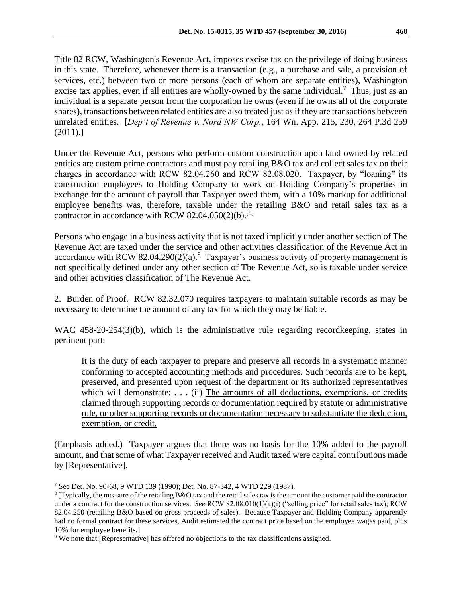Title 82 RCW, Washington's Revenue Act, imposes excise tax on the privilege of doing business in this state. Therefore, whenever there is a transaction (e.g., a purchase and sale, a provision of services, etc.) between two or more persons (each of whom are separate entities), Washington excise tax applies, even if all entities are wholly-owned by the same individual.<sup>7</sup> Thus, just as an individual is a separate person from the corporation he owns (even if he owns all of the corporate shares), transactions between related entities are also treated just as if they are transactions between unrelated entities. [*Dep't of Revenue v. Nord NW Corp.*, 164 Wn. App. 215, 230, 264 P.3d 259 (2011).]

Under the Revenue Act, persons who perform custom construction upon land owned by related entities are custom prime contractors and must pay retailing B&O tax and collect sales tax on their charges in accordance with RCW 82.04.260 and RCW 82.08.020. Taxpayer, by "loaning" its construction employees to Holding Company to work on Holding Company's properties in exchange for the amount of payroll that Taxpayer owed them, with a 10% markup for additional employee benefits was, therefore, taxable under the retailing B&O and retail sales tax as a contractor in accordance with RCW  $82.04.050(2)(b)$ .<sup>[8]</sup>

Persons who engage in a business activity that is not taxed implicitly under another section of The Revenue Act are taxed under the service and other activities classification of the Revenue Act in accordance with RCW 82.04.290(2)(a).<sup>9</sup> Taxpayer's business activity of property management is not specifically defined under any other section of The Revenue Act, so is taxable under service and other activities classification of The Revenue Act.

2. Burden of Proof. RCW 82.32.070 requires taxpayers to maintain suitable records as may be necessary to determine the amount of any tax for which they may be liable.

WAC 458-20-254(3)(b), which is the administrative rule regarding recordkeeping, states in pertinent part:

It is the duty of each taxpayer to prepare and preserve all records in a systematic manner conforming to accepted accounting methods and procedures. Such records are to be kept, preserved, and presented upon request of the department or its authorized representatives which will demonstrate: . . . (ii) The amounts of all deductions, exemptions, or credits claimed through supporting records or documentation required by statute or administrative rule, or other supporting records or documentation necessary to substantiate the deduction, exemption, or credit.

(Emphasis added.) Taxpayer argues that there was no basis for the 10% added to the payroll amount, and that some of what Taxpayer received and Audit taxed were capital contributions made by [Representative].

<sup>7</sup> See Det. No. 90-68, 9 WTD 139 (1990); Det. No. 87-342, 4 WTD 229 (1987).

<sup>8</sup> [Typically, the measure of the retailing B&O tax and the retail sales tax is the amount the customer paid the contractor under a contract for the construction services. *See* RCW 82.08.010(1)(a)(i) ("selling price" for retail sales tax); RCW 82.04.250 (retailing B&O based on gross proceeds of sales). Because Taxpayer and Holding Company apparently had no formal contract for these services, Audit estimated the contract price based on the employee wages paid, plus 10% for employee benefits.]

<sup>&</sup>lt;sup>9</sup> We note that [Representative] has offered no objections to the tax classifications assigned.